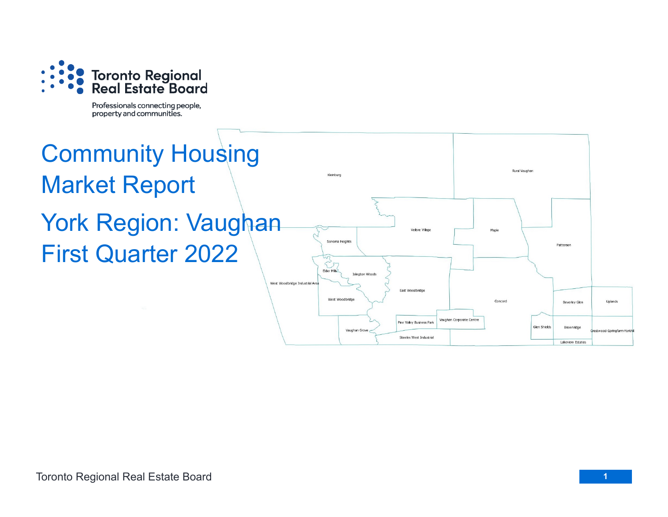

Professionals connecting people, property and communities.

# Community Housing Market Report York Region: Vaughan First Quarter 2022

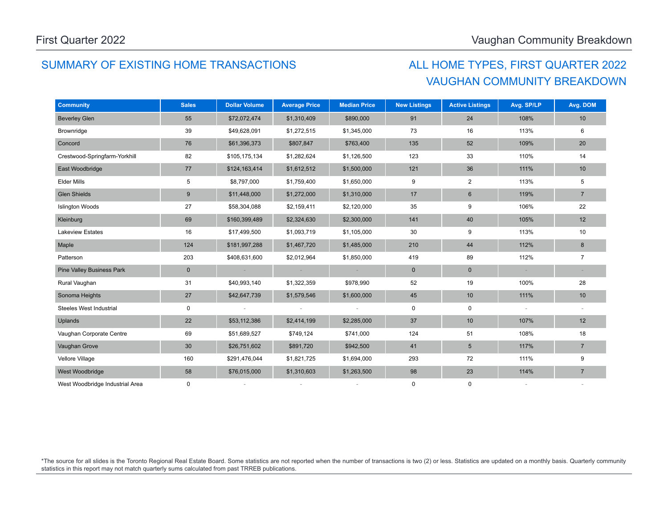## SUMMARY OF EXISTING HOME TRANSACTIONS ALL HOME TYPES, FIRST QUARTER 2022

## VAUGHAN COMMUNITY BREAKDOWN

| <b>Community</b>                 | <b>Sales</b> | <b>Dollar Volume</b> | <b>Average Price</b> | <b>Median Price</b> | <b>New Listings</b> | <b>Active Listings</b> | Avg. SP/LP | Avg. DOM       |
|----------------------------------|--------------|----------------------|----------------------|---------------------|---------------------|------------------------|------------|----------------|
| <b>Beverley Glen</b>             | 55           | \$72,072,474         | \$1,310,409          | \$890,000           | 91                  | 24                     | 108%       | 10             |
| Brownridge                       | 39           | \$49,628,091         | \$1,272,515          | \$1,345,000         | 73                  | 16                     | 113%       | 6              |
| Concord                          | 76           | \$61,396,373         | \$807,847            | \$763,400           | 135                 | 52                     | 109%       | 20             |
| Crestwood-Springfarm-Yorkhill    | 82           | \$105,175,134        | \$1,282,624          | \$1,126,500         | 123                 | 33                     | 110%       | 14             |
| East Woodbridge                  | 77           | \$124,163,414        | \$1,612,512          | \$1,500,000         | 121                 | 36                     | 111%       | 10             |
| <b>Elder Mills</b>               | 5            | \$8,797,000          | \$1,759,400          | \$1,650,000         | 9                   | $\overline{2}$         | 113%       | 5              |
| <b>Glen Shields</b>              | $9\,$        | \$11,448,000         | \$1,272,000          | \$1,310,000         | 17                  | $\,6$                  | 119%       | $\overline{7}$ |
| <b>Islington Woods</b>           | 27           | \$58,304,088         | \$2,159,411          | \$2,120,000         | 35                  | 9                      | 106%       | 22             |
| Kleinburg                        | 69           | \$160,399,489        | \$2,324,630          | \$2,300,000         | 141                 | 40                     | 105%       | 12             |
| <b>Lakeview Estates</b>          | 16           | \$17,499,500         | \$1,093,719          | \$1,105,000         | 30                  | 9                      | 113%       | 10             |
| Maple                            | 124          | \$181,997,288        | \$1,467,720          | \$1,485,000         | 210                 | 44                     | 112%       | 8              |
| Patterson                        | 203          | \$408,631,600        | \$2,012,964          | \$1,850,000         | 419                 | 89                     | 112%       | 7              |
| <b>Pine Valley Business Park</b> | $\mathbf 0$  |                      |                      |                     | $\mathbf 0$         | $\mathbf 0$            |            |                |
| Rural Vaughan                    | 31           | \$40,993,140         | \$1,322,359          | \$978,990           | 52                  | 19                     | 100%       | 28             |
| Sonoma Heights                   | 27           | \$42,647,739         | \$1,579,546          | \$1,600,000         | 45                  | 10                     | 111%       | 10             |
| Steeles West Industrial          | 0            |                      |                      |                     | $\mathbf 0$         | $\pmb{0}$              |            |                |
| Uplands                          | 22           | \$53,112,386         | \$2,414,199          | \$2,285,000         | 37                  | 10                     | 107%       | 12             |
| Vaughan Corporate Centre         | 69           | \$51,689,527         | \$749,124            | \$741,000           | 124                 | 51                     | 108%       | 18             |
| Vaughan Grove                    | 30           | \$26,751,602         | \$891,720            | \$942,500           | 41                  | $5\phantom{.0}$        | 117%       | $\overline{7}$ |
| Vellore Village                  | 160          | \$291,476,044        | \$1,821,725          | \$1,694,000         | 293                 | 72                     | 111%       | 9              |
| West Woodbridge                  | 58           | \$76,015,000         | \$1,310,603          | \$1,263,500         | 98                  | 23                     | 114%       | $\overline{7}$ |
| West Woodbridge Industrial Area  | 0            |                      |                      |                     | 0                   | $\mathbf 0$            |            |                |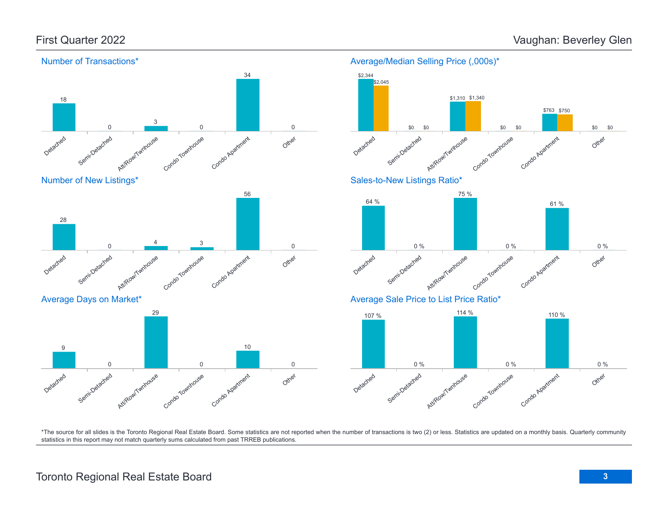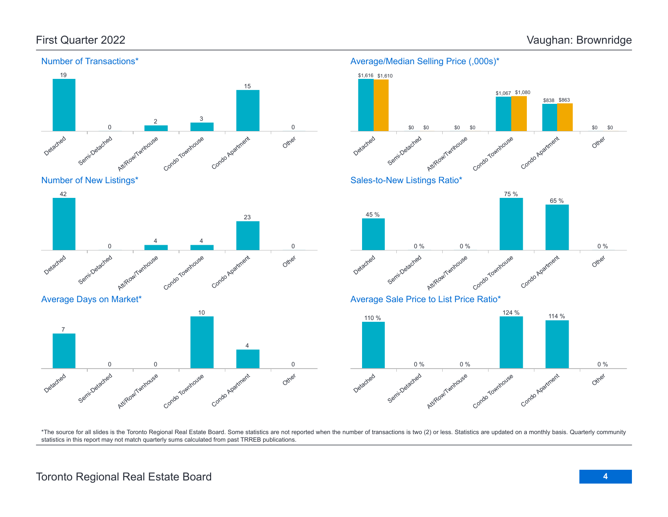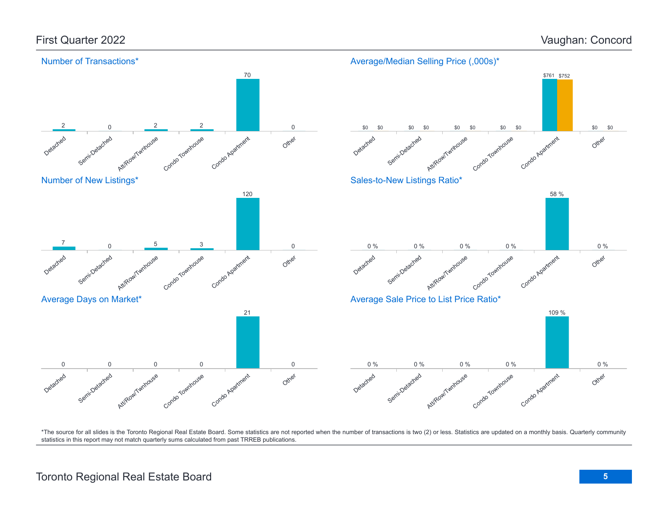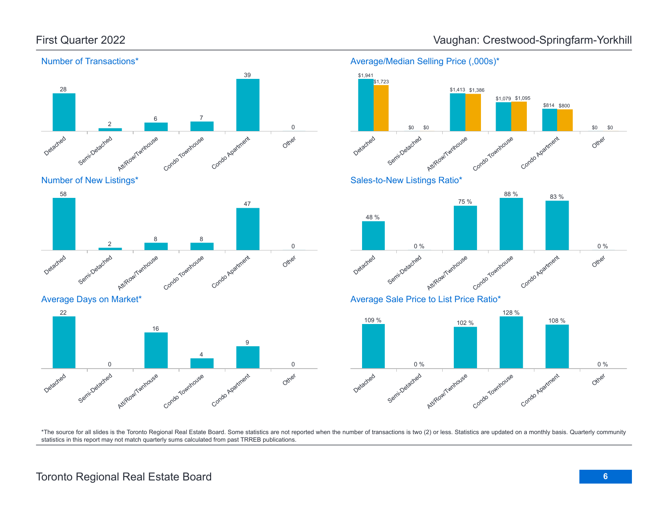

Number of New Listings\*













Sales-to-New Listings Ratio\*



Average Sale Price to List Price Ratio\*

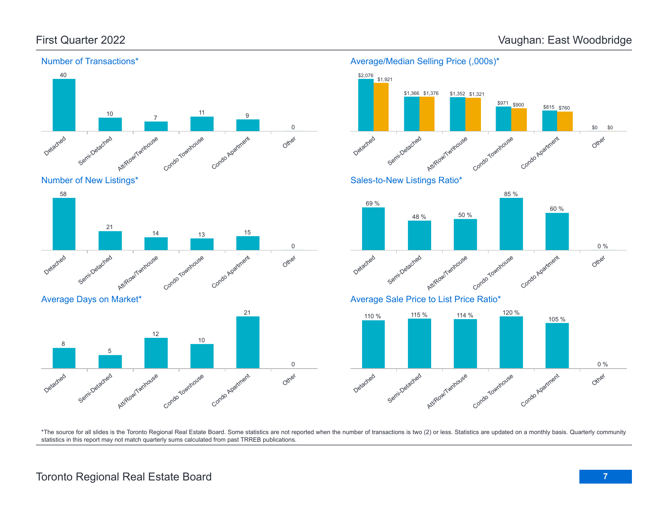

Number of New Listings\*



Average Days on Market\*





Att/Row/Twmpuse



Condo Townhouse

Condo Agatment

\*The source for all slides is the Toronto Regional Real Estate Board. Some statistics are not reported when the number of transactions is two (2) or less. Statistics are updated on a monthly basis. Quarterly community statistics in this report may not match quarterly sums calculated from past TRREB publications.

Detached

Semi-Detached

Other

0 %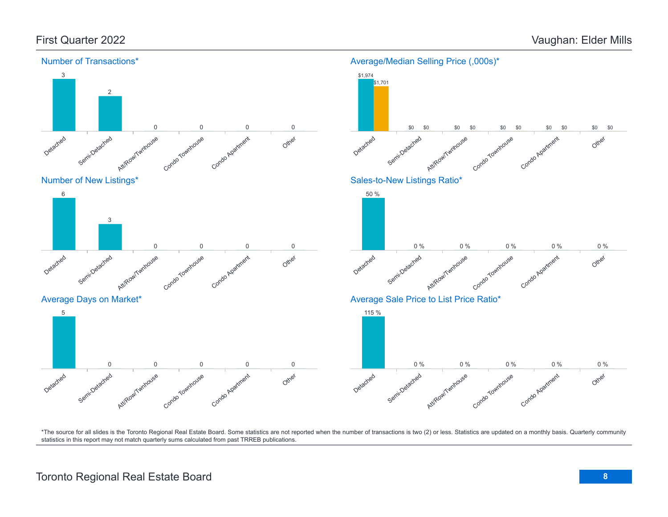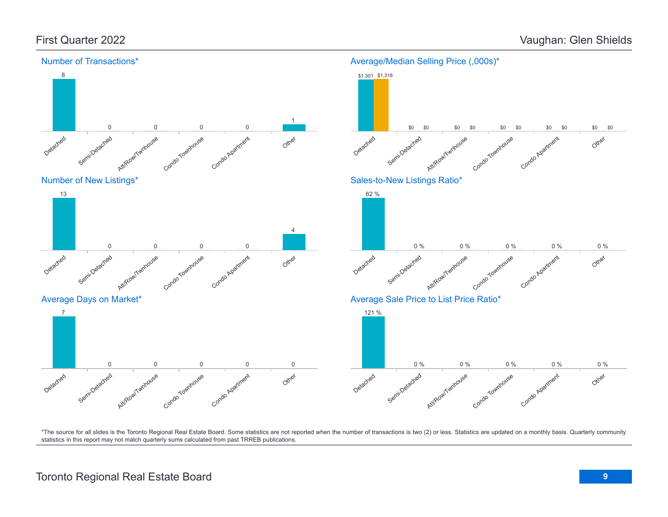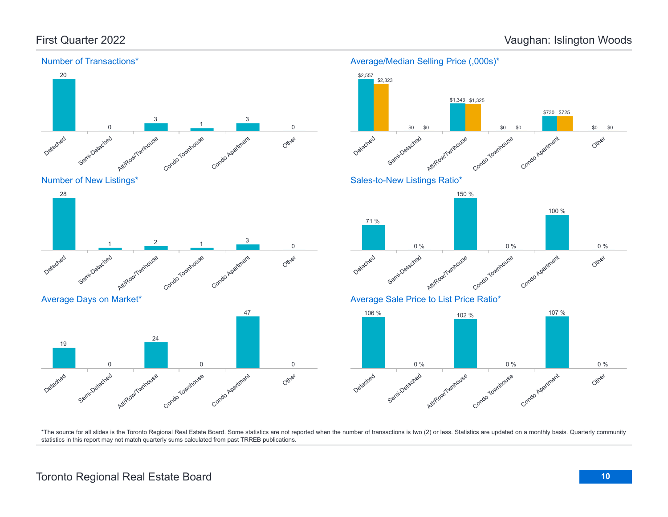\$0

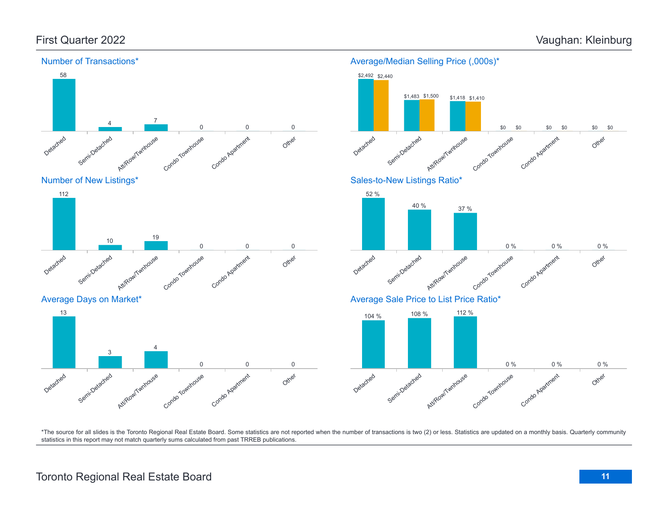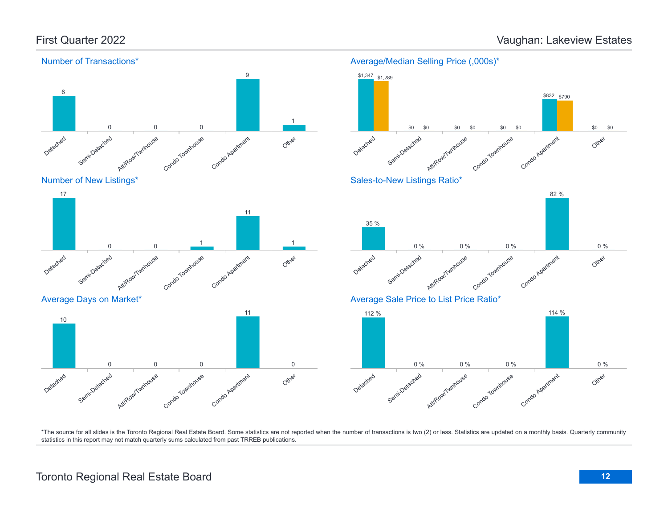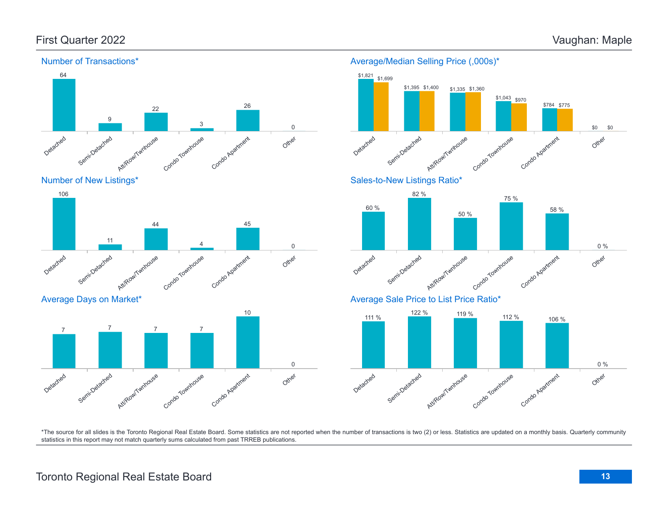

Number of Transactions\*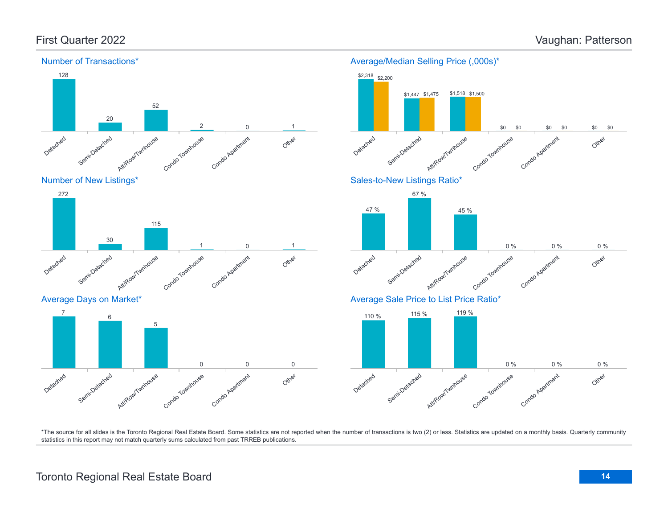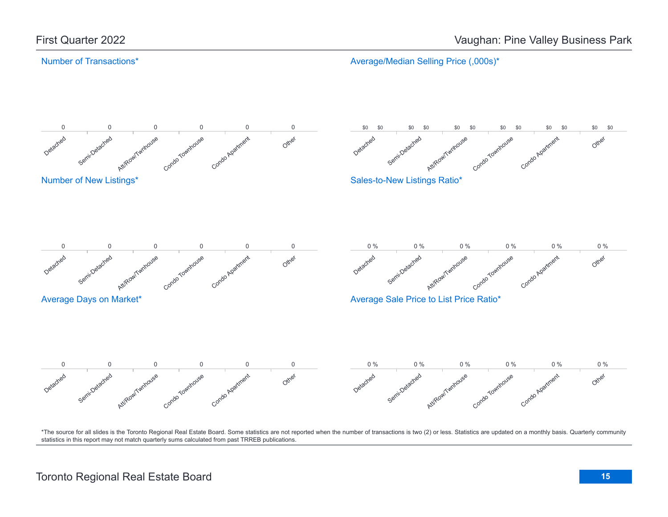### Number of Transactions\*

Average/Median Selling Price (,000s)\*

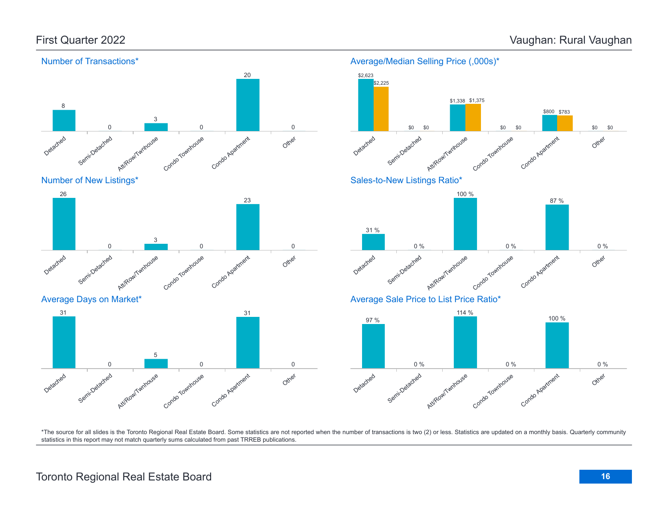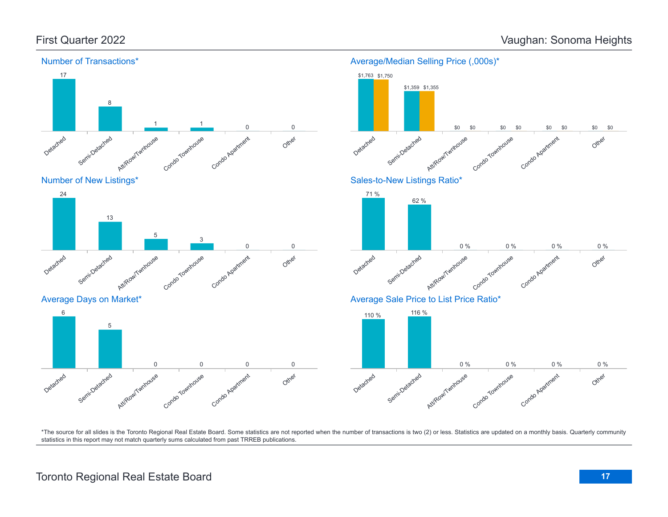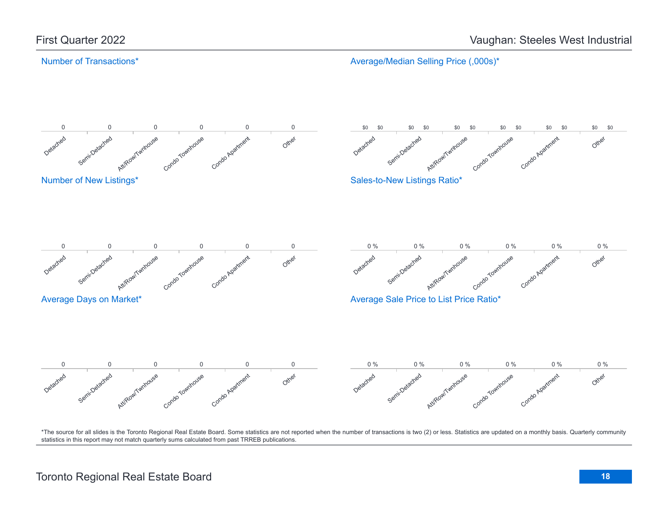#### Number of Transactions\*

Average/Median Selling Price (,000s)\*

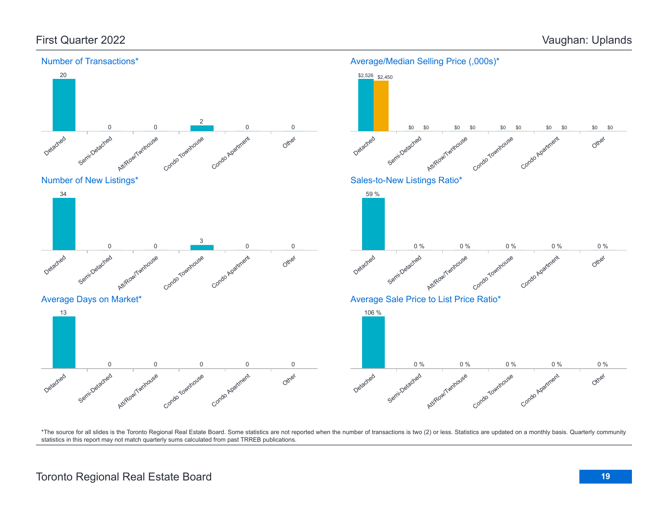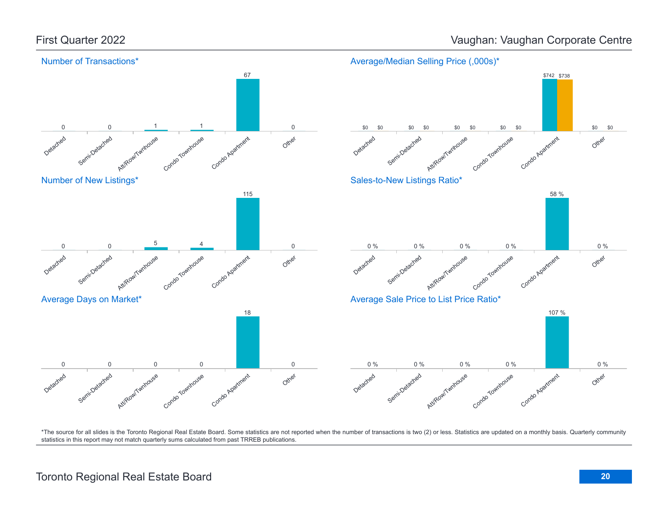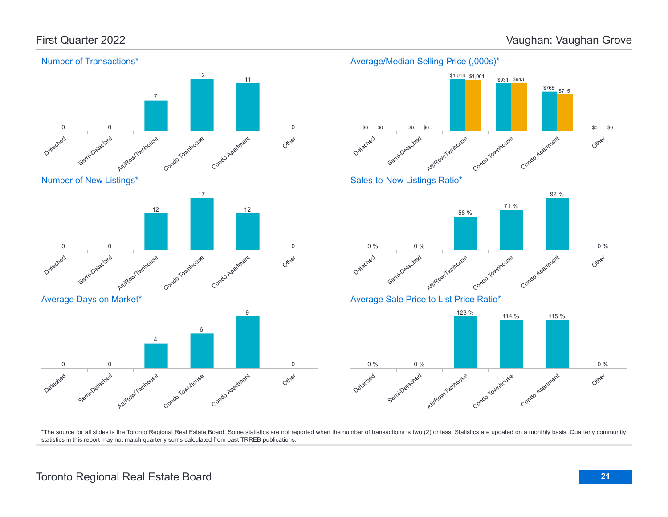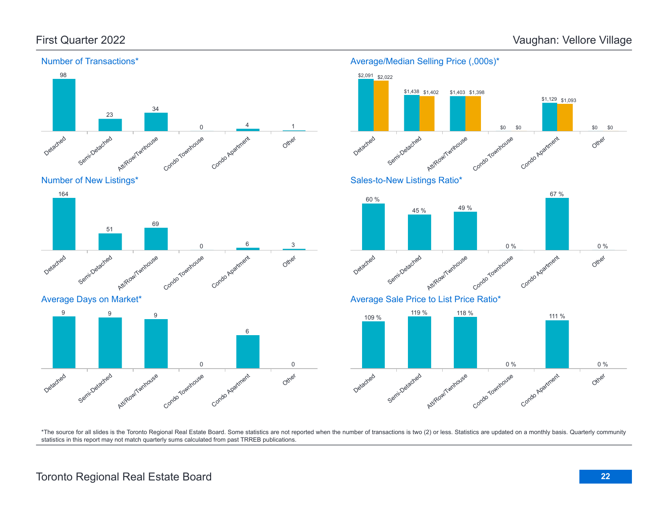Detached

Detached

Semi-Detached

Average Days on Market\*

9 9 9 9

Semi-Detached

Att/RowlTwnhouse

Att/Row/Twnhouse



Condo Townhouse

Condo Townhouse

0

0

Condo Apartment

Condo Apartment

6

Other

Other

0

6 3

#### Average/Median Selling Price (,000s)\*

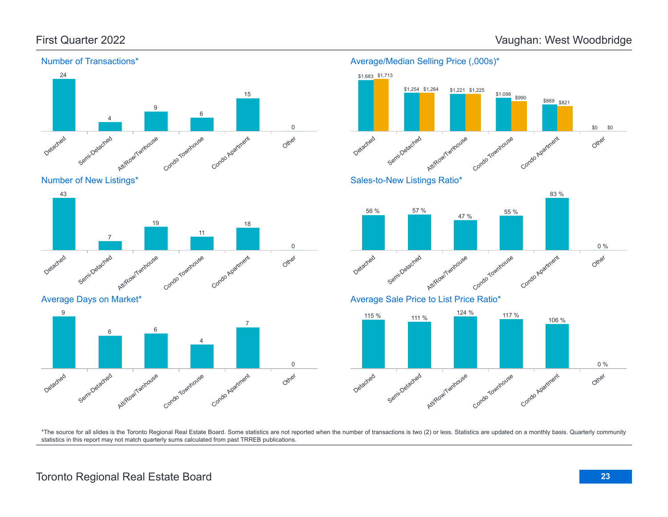

Number of New Listings\*



Average Days on Market\*





Average Sale Price to List Price Ratio\*